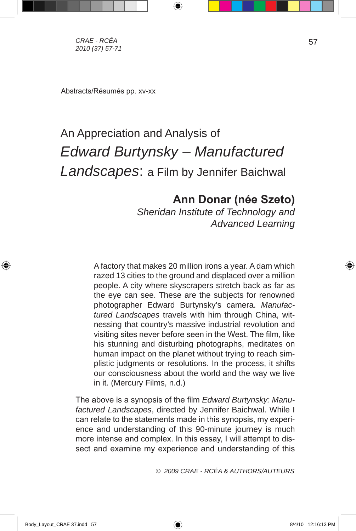*CRAE - RCÉA 2010 (37) 57-71*

Abstracts/Résumés pp. xv-xx

# An Appreciation and Analysis of *Edward Burtynsky – Manufactured Landscapes*: a Film by Jennifer Baichwal

⊕

## **Ann Donar (née Szeto)**

*Sheridan Institute of Technology and Advanced Learning*

A factory that makes 20 million irons a year. A dam which razed 13 cities to the ground and displaced over a million people. A city where skyscrapers stretch back as far as the eye can see. These are the subjects for renowned photographer Edward Burtynsky's camera. *Manufactured Landscapes* travels with him through China, witnessing that country's massive industrial revolution and visiting sites never before seen in the West. The film, like his stunning and disturbing photographs, meditates on human impact on the planet without trying to reach simplistic judgments or resolutions. In the process, it shifts our consciousness about the world and the way we live in it. (Mercury Films, n.d.)

The above is a synopsis of the film *Edward Burtynsky: Manufactured Landscapes*, directed by Jennifer Baichwal. While I can relate to the statements made in this synopsis, my experience and understanding of this 90-minute journey is much more intense and complex. In this essay, I will attempt to dissect and examine my experience and understanding of this

*© 2009 CRAE - RCÉA & AUTHORS/AUTEURS*

57

⊕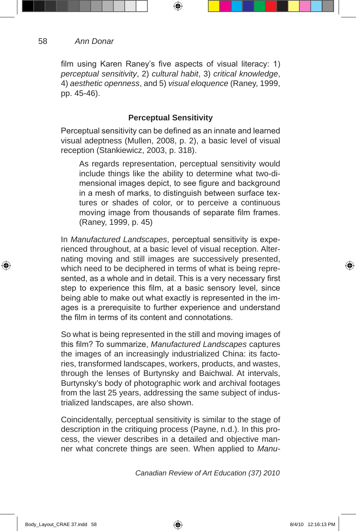film using Karen Raney's five aspects of visual literacy: 1) *perceptual sensitivity*, 2) *cultural habit*, 3) *critical knowledge*, 4) *aesthetic openness*, and 5) *visual eloquence* (Raney, 1999, pp. 45-46).

⊕

### **Perceptual Sensitivity**

Perceptual sensitivity can be defined as an innate and learned visual adeptness (Mullen, 2008, p. 2), a basic level of visual reception (Stankiewicz, 2003, p. 318).

As regards representation, perceptual sensitivity would include things like the ability to determine what two-dimensional images depict, to see figure and background in a mesh of marks, to distinguish between surface textures or shades of color, or to perceive a continuous moving image from thousands of separate film frames. (Raney, 1999, p. 45)

In *Manufactured Landscapes*, perceptual sensitivity is experienced throughout, at a basic level of visual reception. Alternating moving and still images are successively presented, which need to be deciphered in terms of what is being represented, as a whole and in detail. This is a very necessary first step to experience this film, at a basic sensory level, since being able to make out what exactly is represented in the images is a prerequisite to further experience and understand the film in terms of its content and connotations.

So what is being represented in the still and moving images of this film? To summarize, *Manufactured Landscapes* captures the images of an increasingly industrialized China: its factories, transformed landscapes, workers, products, and wastes, through the lenses of Burtynsky and Baichwal. At intervals, Burtynsky's body of photographic work and archival footages from the last 25 years, addressing the same subject of industrialized landscapes, are also shown.

Coincidentally, perceptual sensitivity is similar to the stage of description in the critiquing process (Payne, n.d.). In this process, the viewer describes in a detailed and objective manner what concrete things are seen. When applied to *Manu-*

*Canadian Review of Art Education (37) 2010*

 $Body \_$ 2:16:13 PM \\_

⊕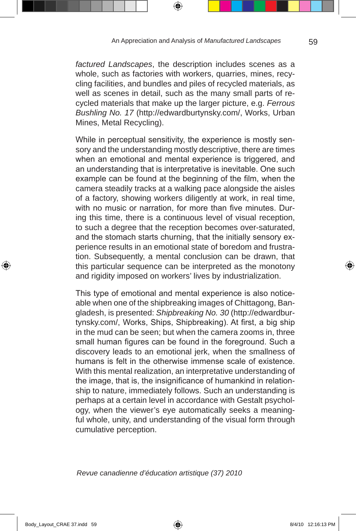⊕

*factured Landscapes*, the description includes scenes as a whole, such as factories with workers, quarries, mines, recycling facilities, and bundles and piles of recycled materials, as well as scenes in detail, such as the many small parts of recycled materials that make up the larger picture, e.g. *Ferrous Bushling No. 17* (http://edwardburtynsky.com/, Works, Urban Mines, Metal Recycling).

While in perceptual sensitivity, the experience is mostly sensory and the understanding mostly descriptive, there are times when an emotional and mental experience is triggered, and an understanding that is interpretative is inevitable. One such example can be found at the beginning of the film, when the camera steadily tracks at a walking pace alongside the aisles of a factory, showing workers diligently at work, in real time, with no music or narration, for more than five minutes. During this time, there is a continuous level of visual reception, to such a degree that the reception becomes over-saturated, and the stomach starts churning, that the initially sensory experience results in an emotional state of boredom and frustration. Subsequently, a mental conclusion can be drawn, that this particular sequence can be interpreted as the monotony and rigidity imposed on workers' lives by industrialization.

This type of emotional and mental experience is also noticeable when one of the shipbreaking images of Chittagong, Bangladesh, is presented: *Shipbreaking No. 30* (http://edwardburtynsky.com/, Works, Ships, Shipbreaking). At first, a big ship in the mud can be seen; but when the camera zooms in, three small human figures can be found in the foreground. Such a discovery leads to an emotional jerk, when the smallness of humans is felt in the otherwise immense scale of existence. With this mental realization, an interpretative understanding of the image, that is, the insignificance of humankind in relationship to nature, immediately follows. Such an understanding is perhaps at a certain level in accordance with Gestalt psychology, when the viewer's eye automatically seeks a meaningful whole, unity, and understanding of the visual form through cumulative perception.

*Revue canadienne d'éducation artistique (37) 2010* 

59

⊕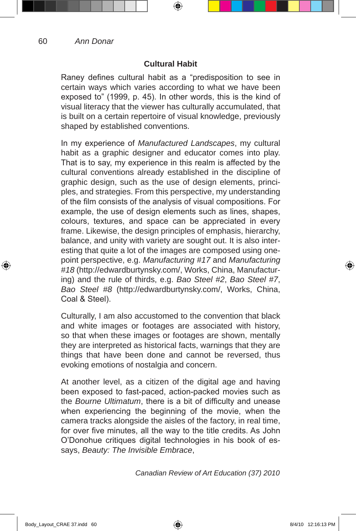### **Cultural Habit**

⊕

Raney defines cultural habit as a "predisposition to see in certain ways which varies according to what we have been exposed to" (1999, p. 45). In other words, this is the kind of visual literacy that the viewer has culturally accumulated, that is built on a certain repertoire of visual knowledge, previously shaped by established conventions.

In my experience of *Manufactured Landscapes*, my cultural habit as a graphic designer and educator comes into play. That is to say, my experience in this realm is affected by the cultural conventions already established in the discipline of graphic design, such as the use of design elements, principles, and strategies. From this perspective, my understanding of the film consists of the analysis of visual compositions. For example, the use of design elements such as lines, shapes, colours, textures, and space can be appreciated in every frame. Likewise, the design principles of emphasis, hierarchy, balance, and unity with variety are sought out. It is also interesting that quite a lot of the images are composed using onepoint perspective, e.g. *Manufacturing #17* and *Manufacturing #18* (http://edwardburtynsky.com/, Works, China, Manufacturing) and the rule of thirds, e.g. *Bao Steel #2*, *Bao Steel #7*, *Bao Steel #8* (http://edwardburtynsky.com/, Works, China, Coal & Steel).

Culturally, I am also accustomed to the convention that black and white images or footages are associated with history, so that when these images or footages are shown, mentally they are interpreted as historical facts, warnings that they are things that have been done and cannot be reversed, thus evoking emotions of nostalgia and concern.

At another level, as a citizen of the digital age and having been exposed to fast-paced, action-packed movies such as the *Bourne Ultimatum*, there is a bit of difficulty and unease when experiencing the beginning of the movie, when the camera tracks alongside the aisles of the factory, in real time, for over five minutes, all the way to the title credits. As John O'Donohue critiques digital technologies in his book of essays, *Beauty: The Invisible Embrace*,

*Canadian Review of Art Education (37) 2010*

60

⊕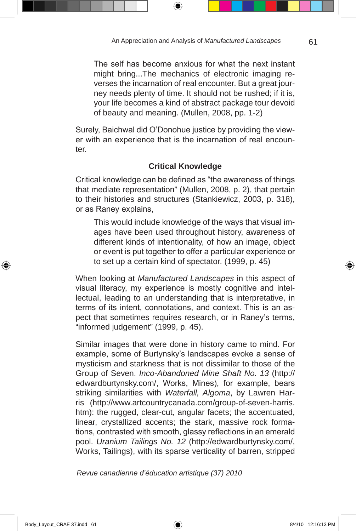⊕

The self has become anxious for what the next instant might bring...The mechanics of electronic imaging reverses the incarnation of real encounter. But a great journey needs plenty of time. It should not be rushed; if it is, your life becomes a kind of abstract package tour devoid of beauty and meaning. (Mullen, 2008, pp. 1-2)

Surely, Baichwal did O'Donohue justice by providing the viewer with an experience that is the incarnation of real encounter.

### **Critical Knowledge**

Critical knowledge can be defined as "the awareness of things that mediate representation" (Mullen, 2008, p. 2), that pertain to their histories and structures (Stankiewicz, 2003, p. 318), or as Raney explains,

This would include knowledge of the ways that visual images have been used throughout history, awareness of different kinds of intentionality, of how an image, object or event is put together to offer a particular experience or to set up a certain kind of spectator. (1999, p. 45)

When looking at *Manufactured Landscapes* in this aspect of visual literacy, my experience is mostly cognitive and intellectual, leading to an understanding that is interpretative, in terms of its intent, connotations, and context. This is an aspect that sometimes requires research, or in Raney's terms, "informed judgement" (1999, p. 45).

Similar images that were done in history came to mind. For example, some of Burtynsky's landscapes evoke a sense of mysticism and starkness that is not dissimilar to those of the Group of Seven. *Inco-Abandoned Mine Shaft No. 13* (http:// edwardburtynsky.com/, Works, Mines), for example, bears striking similarities with *Waterfall, Algoma*, by Lawren Harris (http://www.artcountrycanada.com/group-of-seven-harris. htm): the rugged, clear-cut, angular facets; the accentuated, linear, crystallized accents; the stark, massive rock formations, contrasted with smooth, glassy reflections in an emerald pool. *Uranium Tailings No. 12* (http://edwardburtynsky.com/, Works, Tailings), with its sparse verticality of barren, stripped

*Revue canadienne d'éducation artistique (37) 2010* 

61

⊕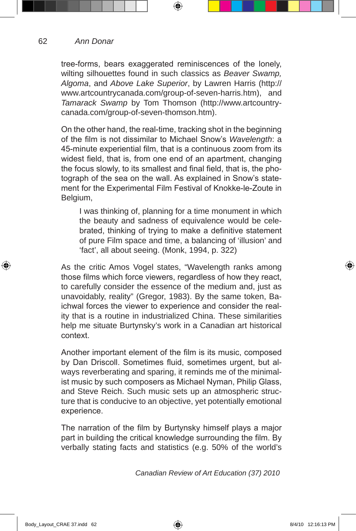62 *Ann Donar*

> tree-forms, bears exaggerated reminiscences of the lonely, wilting silhouettes found in such classics as *Beaver Swamp, Algoma*, and *Above Lake Superior*, by Lawren Harris (http:// www.artcountrycanada.com/group-of-seven-harris.htm), and *Tamarack Swamp* by Tom Thomson (http://www.artcountrycanada.com/group-of-seven-thomson.htm).

⊕

On the other hand, the real-time, tracking shot in the beginning of the film is not dissimilar to Michael Snow's *Wavelength*: a 45-minute experiential film, that is a continuous zoom from its widest field, that is, from one end of an apartment, changing the focus slowly, to its smallest and final field, that is, the photograph of the sea on the wall. As explained in Snow's statement for the Experimental Film Festival of Knokke-le-Zoute in Belgium,

I was thinking of, planning for a time monument in which the beauty and sadness of equivalence would be celebrated, thinking of trying to make a definitive statement of pure Film space and time, a balancing of 'illusion' and 'fact', all about seeing. (Monk, 1994, p. 322)

As the critic Amos Vogel states, "Wavelength ranks among those films which force viewers, regardless of how they react, to carefully consider the essence of the medium and, just as unavoidably, reality" (Gregor, 1983). By the same token, Baichwal forces the viewer to experience and consider the reality that is a routine in industrialized China. These similarities help me situate Burtynsky's work in a Canadian art historical context.

Another important element of the film is its music, composed by Dan Driscoll. Sometimes fluid, sometimes urgent, but always reverberating and sparing, it reminds me of the minimalist music by such composers as Michael Nyman, Philip Glass, and Steve Reich. Such music sets up an atmospheric structure that is conducive to an objective, yet potentially emotional experience.

The narration of the film by Burtynsky himself plays a major part in building the critical knowledge surrounding the film. By verbally stating facts and statistics (e.g. 50% of the world's

*Canadian Review of Art Education (37) 2010*

 $Body\_Layout\_CRAE$  37.indd 62  $8/4/10$  12:16:13 PM

⊕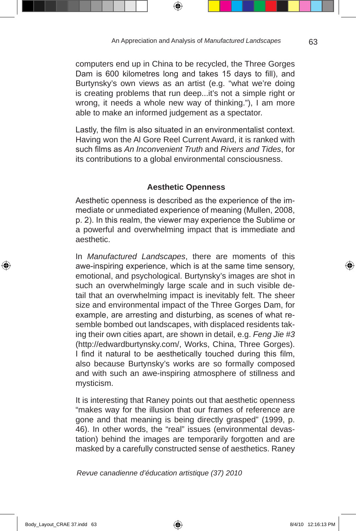computers end up in China to be recycled, the Three Gorges Dam is 600 kilometres long and takes 15 days to fill), and Burtynsky's own views as an artist (e.g. "what we're doing is creating problems that run deep...it's not a simple right or wrong, it needs a whole new way of thinking."), I am more able to make an informed judgement as a spectator.

⊕

Lastly, the film is also situated in an environmentalist context. Having won the Al Gore Reel Current Award, it is ranked with such films as *An Inconvenient Truth* and *Rivers and Tides*, for its contributions to a global environmental consciousness.

### **Aesthetic Openness**

Aesthetic openness is described as the experience of the immediate or unmediated experience of meaning (Mullen, 2008, p. 2). In this realm, the viewer may experience the Sublime or a powerful and overwhelming impact that is immediate and aesthetic.

In *Manufactured Landscapes*, there are moments of this awe-inspiring experience, which is at the same time sensory, emotional, and psychological. Burtynsky's images are shot in such an overwhelmingly large scale and in such visible detail that an overwhelming impact is inevitably felt. The sheer size and environmental impact of the Three Gorges Dam, for example, are arresting and disturbing, as scenes of what resemble bombed out landscapes, with displaced residents taking their own cities apart, are shown in detail, e.g. *Feng Jie #3* (http://edwardburtynsky.com/, Works, China, Three Gorges). I find it natural to be aesthetically touched during this film, also because Burtynsky's works are so formally composed and with such an awe-inspiring atmosphere of stillness and mysticism.

It is interesting that Raney points out that aesthetic openness "makes way for the illusion that our frames of reference are gone and that meaning is being directly grasped" (1999, p. 46). In other words, the "real" issues (environmental devastation) behind the images are temporarily forgotten and are masked by a carefully constructed sense of aesthetics. Raney

*Revue canadienne d'éducation artistique (37) 2010* 

Body\_Layout\_CRAE 37.indd 63 68/4/10 12:16:13 PM

⊕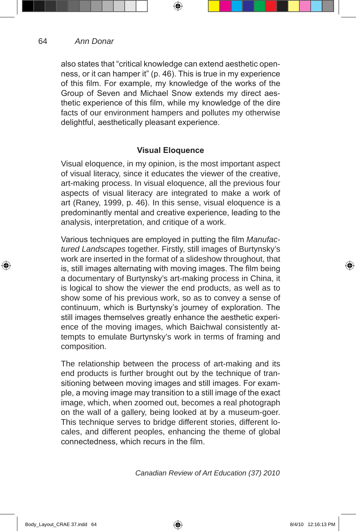#### 64 *Ann Donar*

⊕

also states that "critical knowledge can extend aesthetic openness, or it can hamper it" (p. 46). This is true in my experience of this film. For example, my knowledge of the works of the Group of Seven and Michael Snow extends my direct aesthetic experience of this film, while my knowledge of the dire facts of our environment hampers and pollutes my otherwise delightful, aesthetically pleasant experience.

⊕

### **Visual Eloquence**

Visual eloquence, in my opinion, is the most important aspect of visual literacy, since it educates the viewer of the creative, art-making process. In visual eloquence, all the previous four aspects of visual literacy are integrated to make a work of art (Raney, 1999, p. 46). In this sense, visual eloquence is a predominantly mental and creative experience, leading to the analysis, interpretation, and critique of a work.

Various techniques are employed in putting the film *Manufactured Landscapes* together. Firstly, still images of Burtynsky's work are inserted in the format of a slideshow throughout, that is, still images alternating with moving images. The film being a documentary of Burtynsky's art-making process in China, it is logical to show the viewer the end products, as well as to show some of his previous work, so as to convey a sense of continuum, which is Burtynsky's journey of exploration. The still images themselves greatly enhance the aesthetic experience of the moving images, which Baichwal consistently attempts to emulate Burtynsky's work in terms of framing and composition.

The relationship between the process of art-making and its end products is further brought out by the technique of transitioning between moving images and still images. For example, a moving image may transition to a still image of the exact image, which, when zoomed out, becomes a real photograph on the wall of a gallery, being looked at by a museum-goer. This technique serves to bridge different stories, different locales, and different peoples, enhancing the theme of global connectedness, which recurs in the film.

*Canadian Review of Art Education (37) 2010*

 $Body \_$ 2:16:13 PM \\_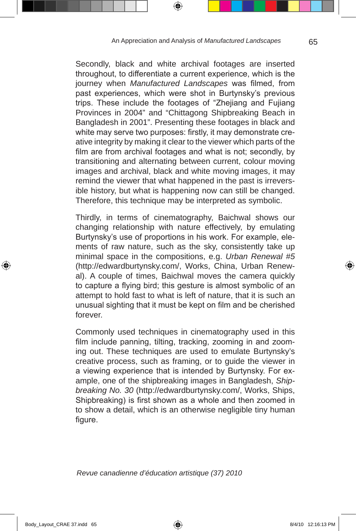Secondly, black and white archival footages are inserted throughout, to differentiate a current experience, which is the journey when *Manufactured Landscapes* was filmed, from past experiences, which were shot in Burtynsky's previous trips. These include the footages of "Zhejiang and Fujiang Provinces in 2004" and "Chittagong Shipbreaking Beach in Bangladesh in 2001". Presenting these footages in black and white may serve two purposes: firstly, it may demonstrate creative integrity by making it clear to the viewer which parts of the film are from archival footages and what is not; secondly, by transitioning and alternating between current, colour moving images and archival, black and white moving images, it may remind the viewer that what happened in the past is irreversible history, but what is happening now can still be changed. Therefore, this technique may be interpreted as symbolic.

Thirdly, in terms of cinematography, Baichwal shows our changing relationship with nature effectively, by emulating Burtynsky's use of proportions in his work. For example, elements of raw nature, such as the sky, consistently take up minimal space in the compositions, e.g. *Urban Renewal #5* (http://edwardburtynsky.com/, Works, China, Urban Renewal). A couple of times, Baichwal moves the camera quickly to capture a flying bird; this gesture is almost symbolic of an attempt to hold fast to what is left of nature, that it is such an unusual sighting that it must be kept on film and be cherished forever.

Commonly used techniques in cinematography used in this film include panning, tilting, tracking, zooming in and zooming out. These techniques are used to emulate Burtynsky's creative process, such as framing, or to guide the viewer in a viewing experience that is intended by Burtynsky. For example, one of the shipbreaking images in Bangladesh, *Shipbreaking No. 30* (http://edwardburtynsky.com/, Works, Ships, Shipbreaking) is first shown as a whole and then zoomed in to show a detail, which is an otherwise negligible tiny human figure.

*Revue canadienne d'éducation artistique (37) 2010* 

65

⊕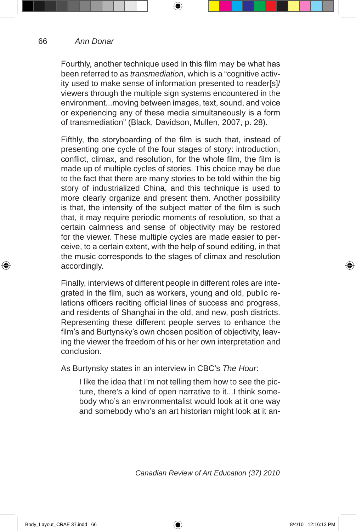66

⊕

Fourthly, another technique used in this film may be what has been referred to as *transmediation*, which is a "cognitive activity used to make sense of information presented to reader[s]/ viewers through the multiple sign systems encountered in the environment...moving between images, text, sound, and voice or experiencing any of these media simultaneously is a form of transmediation" (Black, Davidson, Mullen, 2007, p. 28).

⊕

Fifthly, the storyboarding of the film is such that, instead of presenting one cycle of the four stages of story: introduction, conflict, climax, and resolution, for the whole film, the film is made up of multiple cycles of stories. This choice may be due to the fact that there are many stories to be told within the big story of industrialized China, and this technique is used to more clearly organize and present them. Another possibility is that, the intensity of the subject matter of the film is such that, it may require periodic moments of resolution, so that a certain calmness and sense of objectivity may be restored for the viewer. These multiple cycles are made easier to perceive, to a certain extent, with the help of sound editing, in that the music corresponds to the stages of climax and resolution accordingly.

Finally, interviews of different people in different roles are integrated in the film, such as workers, young and old, public relations officers reciting official lines of success and progress, and residents of Shanghai in the old, and new, posh districts. Representing these different people serves to enhance the film's and Burtynsky's own chosen position of objectivity, leaving the viewer the freedom of his or her own interpretation and conclusion.

As Burtynsky states in an interview in CBC's *The Hour*:

I like the idea that I'm not telling them how to see the picture, there's a kind of open narrative to it...I think somebody who's an environmentalist would look at it one way and somebody who's an art historian might look at it an-

*Canadian Review of Art Education (37) 2010*

 $Bdy$   $Bd/10$  12:16:13 PM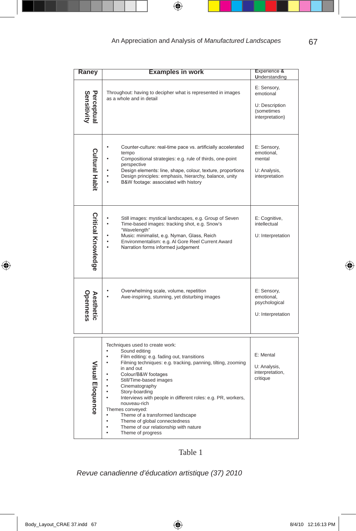$\bigoplus$ 

| Raney                        | <b>Examples in work</b>                                                                                                                                                                                                                                                                                                                                                                                                                                                                                                             | Experience &<br>Understanding                                               |
|------------------------------|-------------------------------------------------------------------------------------------------------------------------------------------------------------------------------------------------------------------------------------------------------------------------------------------------------------------------------------------------------------------------------------------------------------------------------------------------------------------------------------------------------------------------------------|-----------------------------------------------------------------------------|
| Perceptual<br>Sensitivity    | Throughout: having to decipher what is represented in images<br>as a whole and in detail                                                                                                                                                                                                                                                                                                                                                                                                                                            | E: Sensory,<br>emotional<br>U: Description<br>(sometimes<br>interpretation) |
| <b>Cultural Habit</b>        | Counter-culture: real-time pace vs. artificially accelerated<br>tempo<br>Compositional strategies: e.g. rule of thirds, one-point<br>perspective<br>Design elements: line, shape, colour, texture, proportions<br>Design principles: emphasis, hierarchy, balance, unity<br>B&W footage: associated with history                                                                                                                                                                                                                    | E: Sensory,<br>emotional,<br>mental<br>U: Analysis,<br>interpretation       |
| <b>Critical Knowledge</b>    | Still images: mystical landscapes, e.g. Group of Seven<br>Time-based images: tracking shot, e.g. Snow's<br>"Wavelength"<br>Music: minimalist, e.g. Nyman, Glass, Reich<br>Environmentalism: e.g. Al Gore Reel Current Award<br>Narration forms informed judgement                                                                                                                                                                                                                                                                   | E: Cognitive,<br>intellectual<br>U: Interpretation                          |
| <b>Openness</b><br>Aesthetic | Overwhelming scale, volume, repetition<br>Awe-inspiring, stunning, yet disturbing images                                                                                                                                                                                                                                                                                                                                                                                                                                            | E: Sensory,<br>emotional,<br>psychological<br>U: Interpretation             |
| Visual Eloquence             | Techniques used to create work:<br>Sound editing<br>$\bullet$<br>Film editing: e.g. fading out, transitions<br>Filming techniques: e.g. tracking, panning, tilting, zooming<br>in and out<br>Colour/B&W footages<br>Still/Time-based images<br>Cinematography<br>Story-boarding<br>Interviews with people in different roles: e.g. PR, workers,<br>nouveau-rich<br>Themes conveyed:<br>Theme of a transformed landscape<br>Theme of global connectedness<br>Theme of our relationship with nature<br>$\bullet$<br>Theme of progress | E: Mental<br>U: Analysis,<br>interpretation,<br>critique                    |

### Table 1

*Revue canadienne d'éducation artistique (37) 2010* 

Body\_Layout\_CRAE 37.indd 67 8/4/10 12:16:13 PM

 $\bigoplus$ 

67

 $\bigoplus$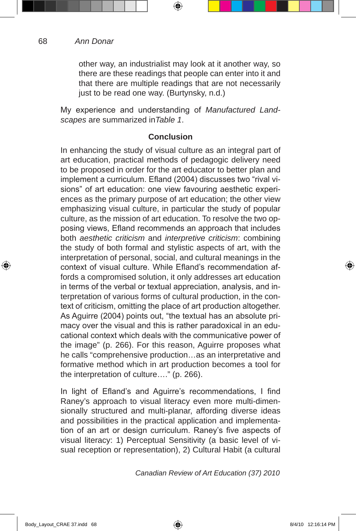other way, an industrialist may look at it another way, so there are these readings that people can enter into it and that there are multiple readings that are not necessarily just to be read one way. (Burtynsky, n.d.)

⊕

My experience and understanding of *Manufactured Landscapes* are summarized in*Table 1*.

### **Conclusion**

In enhancing the study of visual culture as an integral part of art education, practical methods of pedagogic delivery need to be proposed in order for the art educator to better plan and implement a curriculum. Efland (2004) discusses two "rival visions" of art education: one view favouring aesthetic experiences as the primary purpose of art education; the other view emphasizing visual culture, in particular the study of popular culture, as the mission of art education. To resolve the two opposing views, Efland recommends an approach that includes both *aesthetic criticism* and *interpretive criticism*: combining the study of both formal and stylistic aspects of art, with the interpretation of personal, social, and cultural meanings in the context of visual culture. While Efland's recommendation affords a compromised solution, it only addresses art education in terms of the verbal or textual appreciation, analysis, and interpretation of various forms of cultural production, in the context of criticism, omitting the place of art production altogether. As Aguirre (2004) points out, "the textual has an absolute primacy over the visual and this is rather paradoxical in an educational context which deals with the communicative power of the image" (p. 266). For this reason, Aguirre proposes what he calls "comprehensive production…as an interpretative and formative method which in art production becomes a tool for the interpretation of culture…." (p. 266).

In light of Efland's and Aguirre's recommendations, I find Raney's approach to visual literacy even more multi-dimensionally structured and multi-planar, affording diverse ideas and possibilities in the practical application and implementation of an art or design curriculum. Raney's five aspects of visual literacy: 1) Perceptual Sensitivity (a basic level of visual reception or representation), 2) Cultural Habit (a cultural

*Canadian Review of Art Education (37) 2010*

68

⊕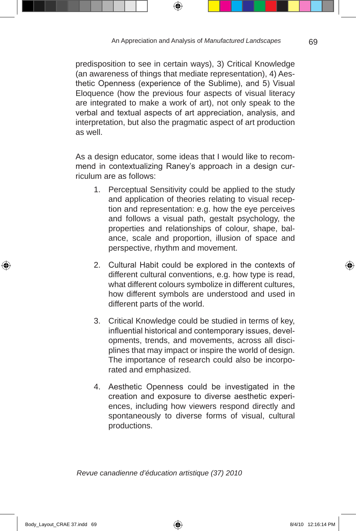⊕

predisposition to see in certain ways), 3) Critical Knowledge (an awareness of things that mediate representation), 4) Aesthetic Openness (experience of the Sublime), and 5) Visual Eloquence (how the previous four aspects of visual literacy are integrated to make a work of art), not only speak to the verbal and textual aspects of art appreciation, analysis, and interpretation, but also the pragmatic aspect of art production as well.

As a design educator, some ideas that I would like to recommend in contextualizing Raney's approach in a design curriculum are as follows:

- 1. Perceptual Sensitivity could be applied to the study and application of theories relating to visual reception and representation: e.g. how the eye perceives and follows a visual path, gestalt psychology, the properties and relationships of colour, shape, balance, scale and proportion, illusion of space and perspective, rhythm and movement.
- 2. Cultural Habit could be explored in the contexts of different cultural conventions, e.g. how type is read, what different colours symbolize in different cultures, how different symbols are understood and used in different parts of the world.
- 3. Critical Knowledge could be studied in terms of key, influential historical and contemporary issues, developments, trends, and movements, across all disciplines that may impact or inspire the world of design. The importance of research could also be incorporated and emphasized.
- 4. Aesthetic Openness could be investigated in the creation and exposure to diverse aesthetic experiences, including how viewers respond directly and spontaneously to diverse forms of visual, cultural productions.

*Revue canadienne d'éducation artistique (37) 2010* 

69

⊕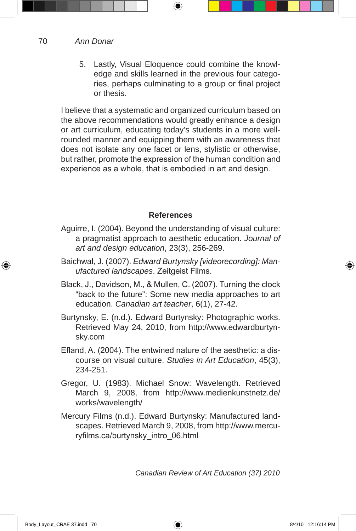70 *Ann Donar*

> 5. Lastly, Visual Eloquence could combine the knowledge and skills learned in the previous four categories, perhaps culminating to a group or final project or thesis.

⊕

I believe that a systematic and organized curriculum based on the above recommendations would greatly enhance a design or art curriculum, educating today's students in a more wellrounded manner and equipping them with an awareness that does not isolate any one facet or lens, stylistic or otherwise, but rather, promote the expression of the human condition and experience as a whole, that is embodied in art and design.

### **References**

- Aguirre, I. (2004). Beyond the understanding of visual culture: a pragmatist approach to aesthetic education. *Journal of art and design education*, 23(3), 256-269.
- Baichwal, J. (2007). *Edward Burtynsky [videorecording]: Manufactured landscapes*. Zeitgeist Films.
- Black, J., Davidson, M., & Mullen, C. (2007). Turning the clock "back to the future": Some new media approaches to art education. *Canadian art teacher*, 6(1), 27-42.
- Burtynsky, E. (n.d.). Edward Burtynsky: Photographic works. Retrieved May 24, 2010, from http://www.edwardburtynsky.com
- Efland, A. (2004). The entwined nature of the aesthetic: a discourse on visual culture. *Studies in Art Education*, 45(3), 234-251.
- Gregor, U. (1983). Michael Snow: Wavelength. Retrieved March 9, 2008, from http://www.medienkunstnetz.de/ works/wavelength/
- Mercury Films (n.d.). Edward Burtynsky: Manufactured landscapes. Retrieved March 9, 2008, from http://www.mercuryfilms.ca/burtynsky\_intro\_06.html

*Canadian Review of Art Education (37) 2010*

⊕